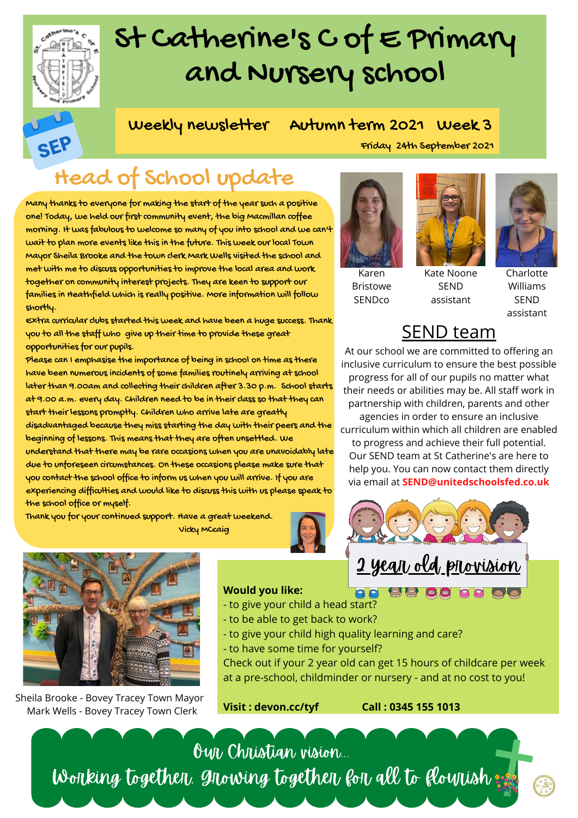

SEF

## St Catherine's C of E Primary and Nursery school

Weekly newsletter Autumn term 2021 Week 3

### Friday 24th September 2021

## Head of School update

Many thanks to everyone for making the start of the year such a positive one! Today, we held our first community event, the big Macmillan coffee morning. It was fabulous to welcome so many of you into school and we can't wait to plan more events like this in the future. This week our local Town Mayor Sheila Brooke and the town clerk Mark Wells visited the school and met with me to discuss opportunities to improve the local area and work together on community interest projects. They are keen to support our families in Heathfield which is really positive. More information will follow shortly.

Extra curricular clubs started this week and have been a huge success. Thank you to all the staff who give up their time to provide these great opportunities for our pupils.

Please can I emphasise the importance of being in school on time as there have been numerous incidents of some families routinely arriving at school later than 9.00am and collecting their children after 3.30 p.m. School starts at 9.00 a.m. every day. Children need to be in their class so that they can start their lessons promptly. Children who arrive late are greatly disadvantaged because they miss starting the day with their peers and the beginning of lessons. This means that they are often unsettled. We understand that there may be rare occasions when you are unavoidably late due to unforeseen circumstances. On these occasions please make sure that you contact the school office to inform us when you will arrive. If you are experiencing difficulties and would like to discuss this with us please speak to the school office or myself.

Thank you for your continued support. Have a great weekend. Vicky MCcaig









Charlotte Williams SEND assistant

### SEND team

assistant

At our school we are committed to offering an inclusive curriculum to ensure the best possible progress for all of our pupils no matter what their needs or abilities may be. All staff work in partnership with children, parents and other agencies in order to ensure an inclusive curriculum within which all children are enabled to progress and achieve their full potential. Our SEND team at St Catherine's are here to help you. You can now contact them directly via email at **SEND@unitedschoolsfed.co.uk**

<u>2 year old provision</u>



Sheila Brooke - Bovey Tracey Town Mayor Mark Wells - Bovey Tracey Town Clerk

### **Would you like:**

- 88 86 88 88 86 - to give your child a head start?
- to be able to get back to work?
- to give your child high quality learning and care?
- to have some time for yourself?

Check out if your 2 year old can get 15 hours of childcare per week at a pre-school, childminder or nursery - and at no cost to you!

**Visit : devon.cc/tyf Call : 0345 155 1013**

Our Christian vision... Working together, growing together for all to flourish: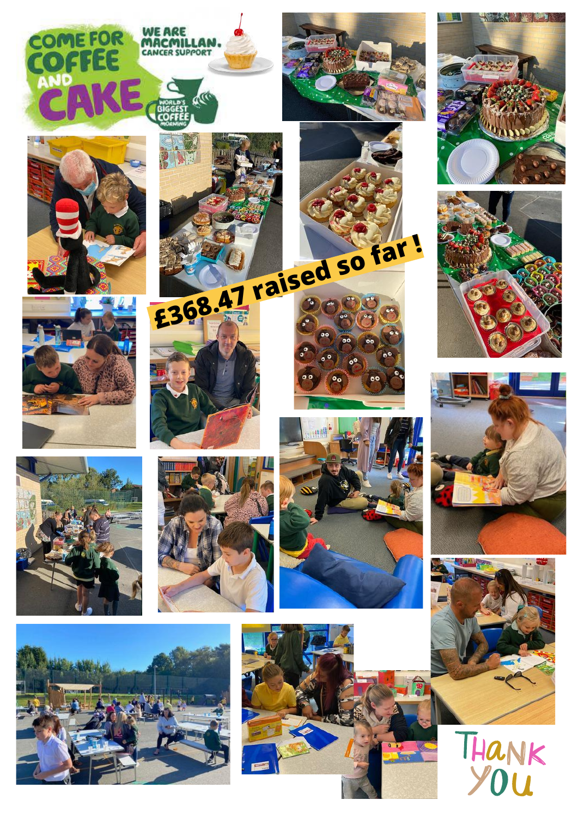









THANK<br>YOU